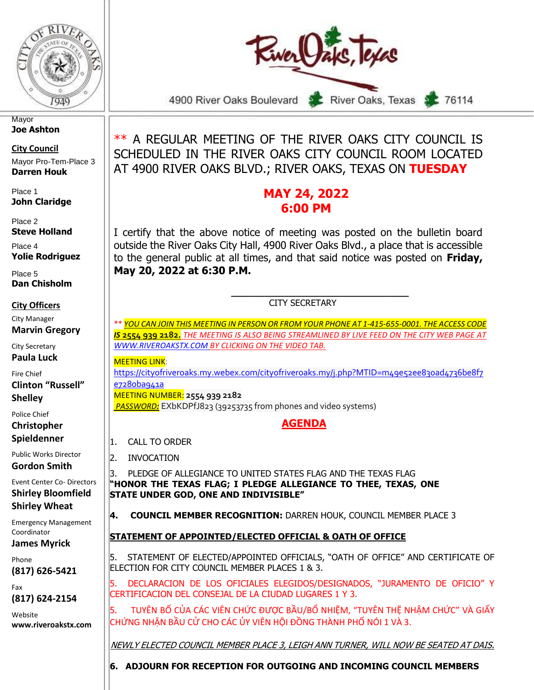



**Mayor Joe Ashton**

**City Council** Mayor Pro-Tem-Place 3 **Darren Houk**

Place 1 **John Claridge**

Place 2 **Steve Holland**

Place 4 **Yolie Rodriguez**

Place 5 **Dan Chisholm**

**City Officers**

City Manager **Marvin Gregory**

City Secretary

**Paula Luck**

Fire Chief **Clinton "Russell"** 

**Shelley** Police Chief

**Christopher Spieldenner**

Public Works Director **Gordon Smith**

Event Center Co- Directors **Shirley Bloomfield Shirley Wheat**

Emergency Management Coordinator

**James Myrick**

Phone **(817) 626-5421**

Fax **(817) 624-2154**

Website **www.riveroakstx.com**

\*\* A REGULAR MEETING OF THE RIVER OAKS CITY COUNCIL IS SCHEDULED IN THE RIVER OAKS CITY COUNCIL ROOM LOCATED AT 4900 RIVER OAKS BLVD.; RIVER OAKS, TEXAS ON **TUESDAY**

# **MAY 24, 2022 6:00 PM**

I certify that the above notice of meeting was posted on the bulletin board outside the River Oaks City Hall, 4900 River Oaks Blvd., a place that is accessible to the general public at all times, and that said notice was posted on **Friday, May 20, 2022 at 6:30 P.M.** 

#### **\_\_\_\_\_\_\_\_\_\_\_\_\_\_\_\_\_\_\_\_\_\_\_\_\_\_\_\_\_\_\_\_** CITY SECRETARY

\*\* *YOU CAN JOIN THIS MEETING IN PERSON OR FROM YOUR PHONE AT 1-415-655-0001. THE ACCESS CODE IS* **2554 939 2182.** *THE MEETING IS ALSO BEING STREAMLINED BY LIVE FEED ON THE CITY WEB PAGE AT [WWW.RIVEROAKSTX.COM](http://www.riveroakstx.com/) BY CLICKING ON THE VIDEO TAB.*

**MEFTING LINK:** 

[https://cityofriveroaks.my.webex.com/cityofriveroaks.my/j.php?MTID=m49e52ee830ad4736be8f7](https://cityofriveroaks.my.webex.com/cityofriveroaks.my/j.php?MTID=m49e52ee830ad4736be8f7e7280ba941a) [e7280ba941a](https://cityofriveroaks.my.webex.com/cityofriveroaks.my/j.php?MTID=m49e52ee830ad4736be8f7e7280ba941a)

MEETING NUMBER: **2554 939 2182**

*PASSWORD:* EXbKDPfJ823 (39253735 from phones and video systems)

## **AGENDA**

1. CALL TO ORDER

2. INVOCATION

3. PLEDGE OF ALLEGIANCE TO UNITED STATES FLAG AND THE TEXAS FLAG **"HONOR THE TEXAS FLAG; I PLEDGE ALLEGIANCE TO THEE, TEXAS, ONE STATE UNDER GOD, ONE AND INDIVISIBLE"**

**4. COUNCIL MEMBER RECOGNITION:** DARREN HOUK, COUNCIL MEMBER PLACE 3

## **STATEMENT OF APPOINTED/ELECTED OFFICIAL & OATH OF OFFICE**

5. STATEMENT OF ELECTED/APPOINTED OFFICIALS, "OATH OF OFFICE" AND CERTIFICATE OF ELECTION FOR CITY COUNCIL MEMBER PLACES 1 & 3.

5. DECLARACION DE LOS OFICIALES ELEGIDOS/DESIGNADOS, "JURAMENTO DE OFICIO" Y CERTIFICACION DEL CONSEJAL DE LA CIUDAD LUGARES 1 Y 3.

5. TUYÊN BỐ CỦA CÁC VIÊN CHỨC ĐƯỢC BẦU/BỔ NHIỆM, "TUYÊN THỆ NHẬM CHỨC" VÀ GIẤY CHỨNG NHẬN BẦU CỬ CHO CÁC ỦY VIÊN HỘI ĐỒNG THÀNH PHỐ NÓI 1 VÀ 3.

NEWLY ELECTED COUNCIL MEMBER PLACE 3, LEIGH ANN TURNER, WILL NOW BE SEATED AT DAIS.

**6. ADJOURN FOR RECEPTION FOR OUTGOING AND INCOMING COUNCIL MEMBERS**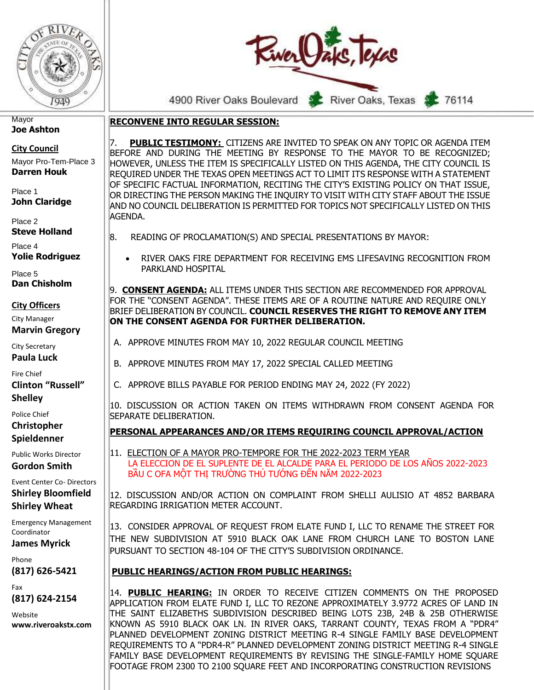



76114

**RECONVENE INTO REGULAR SESSION:**

7. **PUBLIC TESTIMONY:** CITIZENS ARE INVITED TO SPEAK ON ANY TOPIC OR AGENDA ITEM BEFORE AND DURING THE MEETING BY RESPONSE TO THE MAYOR TO BE RECOGNIZED; HOWEVER, UNLESS THE ITEM IS SPECIFICALLY LISTED ON THIS AGENDA, THE CITY COUNCIL IS REQUIRED UNDER THE TEXAS OPEN MEETINGS ACT TO LIMIT ITS RESPONSE WITH A STATEMENT OF SPECIFIC FACTUAL INFORMATION, RECITING THE CITY'S EXISTING POLICY ON THAT ISSUE, OR DIRECTING THE PERSON MAKING THE INQUIRY TO VISIT WITH CITY STAFF ABOUT THE ISSUE AND NO COUNCIL DELIBERATION IS PERMITTED FOR TOPICS NOT SPECIFICALLY LISTED ON THIS AGENDA.

- 8. READING OF PROCLAMATION(S) AND SPECIAL PRESENTATIONS BY MAYOR:
	- RIVER OAKS FIRE DEPARTMENT FOR RECEIVING EMS LIFESAVING RECOGNITION FROM PARKLAND HOSPITAL

9. **CONSENT AGENDA:** ALL ITEMS UNDER THIS SECTION ARE RECOMMENDED FOR APPROVAL FOR THE "CONSENT AGENDA". THESE ITEMS ARE OF A ROUTINE NATURE AND REQUIRE ONLY BRIEF DELIBERATION BY COUNCIL. **COUNCIL RESERVES THE RIGHT TO REMOVE ANY ITEM ON THE CONSENT AGENDA FOR FURTHER DELIBERATION.** 

- A. APPROVE MINUTES FROM MAY 10, 2022 REGULAR COUNCIL MEETING
- B. APPROVE MINUTES FROM MAY 17, 2022 SPECIAL CALLED MEETING
- C. APPROVE BILLS PAYABLE FOR PERIOD ENDING MAY 24, 2022 (FY 2022)

10. DISCUSSION OR ACTION TAKEN ON ITEMS WITHDRAWN FROM CONSENT AGENDA FOR SEPARATE DELIBERATION.

#### **PERSONAL APPEARANCES AND/OR ITEMS REQUIRING COUNCIL APPROVAL/ACTION**

11. ELECTION OF A MAYOR PRO-TEMPORE FOR THE 2022-2023 TERM YEAR LA ELECCION DE EL SUPLENTE DE EL ALCALDE PARA EL PERIODO DE LOS AÑOS 2022-2023 BẦU C OFA MỘT THỊ TRƯỜNG THỦ TƯỚNG ĐẾN NĂM 2022-2023

12. DISCUSSION AND/OR ACTION ON COMPLAINT FROM SHELLI AULISIO AT 4852 BARBARA REGARDING IRRIGATION METER ACCOUNT.

13. CONSIDER APPROVAL OF REQUEST FROM ELATE FUND I, LLC TO RENAME THE STREET FOR THE NEW SUBDIVISION AT 5910 BLACK OAK LANE FROM CHURCH LANE TO BOSTON LANE PURSUANT TO SECTION 48-104 OF THE CITY'S SUBDIVISION ORDINANCE.

#### **PUBLIC HEARINGS/ACTION FROM PUBLIC HEARINGS:**

14. **PUBLIC HEARING:** IN ORDER TO RECEIVE CITIZEN COMMENTS ON THE PROPOSED APPLICATION FROM ELATE FUND I, LLC TO REZONE APPROXIMATELY 3.9772 ACRES OF LAND IN THE SAINT ELIZABETHS SUBDIVISION DESCRIBED BEING LOTS 23B, 24B & 25B OTHERWISE KNOWN AS 5910 BLACK OAK LN. IN RIVER OAKS, TARRANT COUNTY, TEXAS FROM A "PDR4" PLANNED DEVELOPMENT ZONING DISTRICT MEETING R-4 SINGLE FAMILY BASE DEVELOPMENT REQUIREMENTS TO A "PDR4-R" PLANNED DEVELOPMENT ZONING DISTRICT MEETING R-4 SINGLE FAMILY BASE DEVELOPMENT REQUIREMENTS BY REVISING THE SINGLE-FAMILY HOME SQUARE FOOTAGE FROM 2300 TO 2100 SQUARE FEET AND INCORPORATING CONSTRUCTION REVISIONS

**Mayor Joe Ashton**

**City Council**

Mayor Pro-Tem-Place 3 **Darren Houk**

Place 1 **John Claridge**

Place 2 **Steve Holland**

Place 4 **Yolie Rodriguez**

Place 5 **Dan Chisholm**

#### **City Officers**

City Manager **Marvin Gregory**

City Secretary

**Paula Luck**

Fire Chief

**Clinton "Russell" Shelley**

Police Chief

**Christopher Spieldenner**

Public Works Director **Gordon Smith**

Event Center Co- Directors **Shirley Bloomfield Shirley Wheat**

Emergency Management Coordinator

**James Myrick**

Phone **(817) 626-5421**

Fax **(817) 624-2154**

Website **www.riveroakstx.com**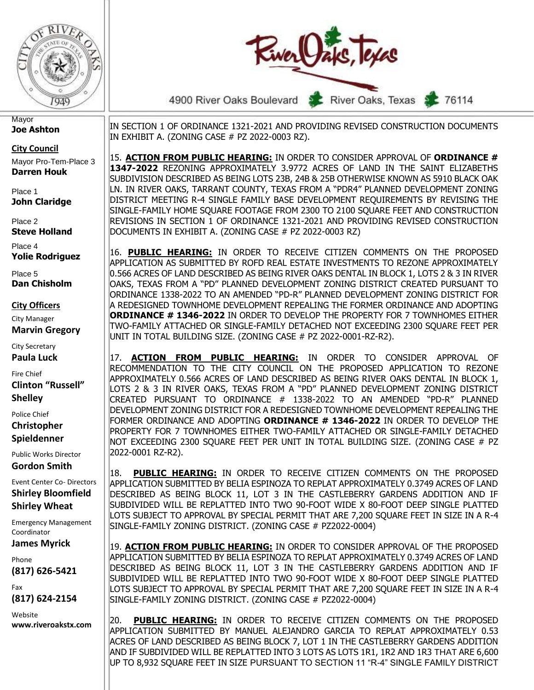



4900 River Oaks Boulevard

**Mayor Joe Ashton**

**City Council**

Mayor Pro-Tem-Place 3 **Darren Houk**

Place 1 **John Claridge**

Place 2 **Steve Holland**

Place 4 **Yolie Rodriguez**

Place 5 **Dan Chisholm**

**City Officers**

City Manager **Marvin Gregory**

City Secretary

**Paula Luck**

Fire Chief

**Clinton "Russell" Shelley**

Police Chief **Christopher Spieldenner**

Public Works Director

**Gordon Smith** Event Center Co- Directors

**Shirley Bloomfield Shirley Wheat**

Emergency Management Coordinator

**James Myrick**

Phone **(817) 626-5421**

Fax **(817) 624-2154**

Website **www.riveroakstx.com**

IN SECTION 1 OF ORDINANCE 1321-2021 AND PROVIDING REVISED CONSTRUCTION DOCUMENTS IN EXHIBIT A. (ZONING CASE # PZ 2022-0003 RZ).

15. **ACTION FROM PUBLIC HEARING:** IN ORDER TO CONSIDER APPROVAL OF **ORDINANCE # 1347-2022** REZONING APPROXIMATELY 3.9772 ACRES OF LAND IN THE SAINT ELIZABETHS SUBDIVISION DESCRIBED AS BEING LOTS 23B, 24B & 25B OTHERWISE KNOWN AS 5910 BLACK OAK LN. IN RIVER OAKS, TARRANT COUNTY, TEXAS FROM A "PDR4" PLANNED DEVELOPMENT ZONING DISTRICT MEETING R-4 SINGLE FAMILY BASE DEVELOPMENT REQUIREMENTS BY REVISING THE SINGLE-FAMILY HOME SQUARE FOOTAGE FROM 2300 TO 2100 SQUARE FEET AND CONSTRUCTION REVISIONS IN SECTION 1 OF ORDINANCE 1321-2021 AND PROVIDING REVISED CONSTRUCTION DOCUMENTS IN EXHIBIT A. (ZONING CASE # PZ 2022-0003 RZ)

16. **PUBLIC HEARING:** IN ORDER TO RECEIVE CITIZEN COMMENTS ON THE PROPOSED APPLICATION AS SUBMITTED BY ROFD REAL ESTATE INVESTMENTS TO REZONE APPROXIMATELY 0.566 ACRES OF LAND DESCRIBED AS BEING RIVER OAKS DENTAL IN BLOCK 1, LOTS 2 & 3 IN RIVER OAKS, TEXAS FROM A "PD" PLANNED DEVELOPMENT ZONING DISTRICT CREATED PURSUANT TO ORDINANCE 1338-2022 TO AN AMENDED "PD-R" PLANNED DEVELOPMENT ZONING DISTRICT FOR A REDESIGNED TOWNHOME DEVELOPMENT REPEALING THE FORMER ORDINANCE AND ADOPTING **ORDINANCE # 1346-2022** IN ORDER TO DEVELOP THE PROPERTY FOR 7 TOWNHOMES EITHER TWO-FAMILY ATTACHED OR SINGLE-FAMILY DETACHED NOT EXCEEDING 2300 SQUARE FEET PER UNIT IN TOTAL BUILDING SIZE. (ZONING CASE # PZ 2022-0001-RZ-R2).

17. **ACTION FROM PUBLIC HEARING:** IN ORDER TO CONSIDER APPROVAL OF RECOMMENDATION TO THE CITY COUNCIL ON THE PROPOSED APPLICATION TO REZONE APPROXIMATELY 0.566 ACRES OF LAND DESCRIBED AS BEING RIVER OAKS DENTAL IN BLOCK 1, LOTS 2 & 3 IN RIVER OAKS, TEXAS FROM A "PD" PLANNED DEVELOPMENT ZONING DISTRICT CREATED PURSUANT TO ORDINANCE # 1338-2022 TO AN AMENDED "PD-R" PLANNED DEVELOPMENT ZONING DISTRICT FOR A REDESIGNED TOWNHOME DEVELOPMENT REPEALING THE FORMER ORDINANCE AND ADOPTING **ORDINANCE # 1346-2022** IN ORDER TO DEVELOP THE PROPERTY FOR 7 TOWNHOMES EITHER TWO-FAMILY ATTACHED OR SINGLE-FAMILY DETACHED NOT EXCEEDING 2300 SQUARE FEET PER UNIT IN TOTAL BUILDING SIZE. (ZONING CASE # PZ 2022-0001 RZ-R2).

18. **PUBLIC HEARING:** IN ORDER TO RECEIVE CITIZEN COMMENTS ON THE PROPOSED APPLICATION SUBMITTED BY BELIA ESPINOZA TO REPLAT APPROXIMATELY 0.3749 ACRES OF LAND DESCRIBED AS BEING BLOCK 11, LOT 3 IN THE CASTLEBERRY GARDENS ADDITION AND IF SUBDIVIDED WILL BE REPLATTED INTO TWO 90-FOOT WIDE X 80-FOOT DEEP SINGLE PLATTED LOTS SUBJECT TO APPROVAL BY SPECIAL PERMIT THAT ARE 7,200 SQUARE FEET IN SIZE IN A R-4 SINGLE-FAMILY ZONING DISTRICT. (ZONING CASE # PZ2022-0004)

19. **ACTION FROM PUBLIC HEARING:** IN ORDER TO CONSIDER APPROVAL OF THE PROPOSED APPLICATION SUBMITTED BY BELIA ESPINOZA TO REPLAT APPROXIMATELY 0.3749 ACRES OF LAND DESCRIBED AS BEING BLOCK 11, LOT 3 IN THE CASTLEBERRY GARDENS ADDITION AND IF SUBDIVIDED WILL BE REPLATTED INTO TWO 90-FOOT WIDE X 80-FOOT DEEP SINGLE PLATTED LOTS SUBJECT TO APPROVAL BY SPECIAL PERMIT THAT ARE 7,200 SQUARE FEET IN SIZE IN A R-4 SINGLE-FAMILY ZONING DISTRICT. (ZONING CASE # PZ2022-0004)

20. **PUBLIC HEARING:** IN ORDER TO RECEIVE CITIZEN COMMENTS ON THE PROPOSED APPLICATION SUBMITTED BY MANUEL ALEJANDRO GARCIA TO REPLAT APPROXIMATELY 0.53 ACRES OF LAND DESCRIBED AS BEING BLOCK 7, LOT 1 IN THE CASTLEBERRY GARDENS ADDITION AND IF SUBDIVIDED WILL BE REPLATTED INTO 3 LOTS AS LOTS 1R1, 1R2 AND 1R3 THAT ARE 6,600 UP TO 8,932 SQUARE FEET IN SIZE PURSUANT TO SECTION 11 "R-4" SINGLE FAMILY DISTRICT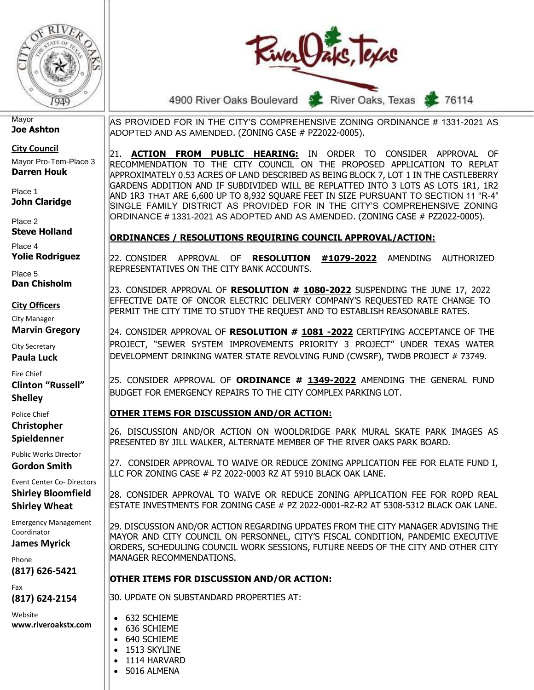



4900 River Oaks Boulevard

River Oaks, Texas

76114

#### **Mayor Joe Ashton**

**City Council**

Mayor Pro-Tem-Place 3 **Darren Houk**

Place 1 **John Claridge**

Place 2 **Steve Holland**

Place 4 **Yolie Rodriguez**

Place 5 **Dan Chisholm**

#### **City Officers**

City Manager

**Marvin Gregory**

City Secretary **Paula Luck**

Fire Chief

**Clinton "Russell" Shelley**

Police Chief **Christopher Spieldenner**

Public Works Director **Gordon Smith**

Event Center Co- Directors **Shirley Bloomfield Shirley Wheat**

Emergency Management Coordinator

**James Myrick**

Phone **(817) 626-5421**

Fax **(817) 624-2154**

Website **www.riveroakstx.com** AS PROVIDED FOR IN THE CITY'S COMPREHENSIVE ZONING ORDINANCE # 1331-2021 AS ADOPTED AND AS AMENDED. (ZONING CASE # PZ2022-0005).

21. **ACTION FROM PUBLIC HEARING:** IN ORDER TO CONSIDER APPROVAL OF RECOMMENDATION TO THE CITY COUNCIL ON THE PROPOSED APPLICATION TO REPLAT APPROXIMATELY 0.53 ACRES OF LAND DESCRIBED AS BEING BLOCK 7, LOT 1 IN THE CASTLEBERRY GARDENS ADDITION AND IF SUBDIVIDED WILL BE REPLATTED INTO 3 LOTS AS LOTS 1R1, 1R2 AND 1R3 THAT ARE 6,600 UP TO 8,932 SQUARE FEET IN SIZE PURSUANT TO SECTION 11 "R-4" SINGLE FAMILY DISTRICT AS PROVIDED FOR IN THE CITY'S COMPREHENSIVE ZONING ORDINANCE # 1331-2021 AS ADOPTED AND AS AMENDED. (ZONING CASE # PZ2022-0005).

### **ORDINANCES / RESOLUTIONS REQUIRING COUNCIL APPROVAL/ACTION:**

22. CONSIDER APPROVAL OF **RESOLUTION #1079-2022** AMENDING AUTHORIZED REPRESENTATIVES ON THE CITY BANK ACCOUNTS.

23. CONSIDER APPROVAL OF **RESOLUTION # 1080-2022** SUSPENDING THE JUNE 17, 2022 EFFECTIVE DATE OF ONCOR ELECTRIC DELIVERY COMPANY'S REQUESTED RATE CHANGE TO PERMIT THE CITY TIME TO STUDY THE REQUEST AND TO ESTABLISH REASONABLE RATES.

24. CONSIDER APPROVAL OF **RESOLUTION # 1081 -2022** CERTIFYING ACCEPTANCE OF THE PROJECT, "SEWER SYSTEM IMPROVEMENTS PRIORITY 3 PROJECT" UNDER TEXAS WATER DEVELOPMENT DRINKING WATER STATE REVOLVING FUND (CWSRF), TWDB PROJECT # 73749.

25. CONSIDER APPROVAL OF **ORDINANCE # 1349-2022** AMENDING THE GENERAL FUND BUDGET FOR EMERGENCY REPAIRS TO THE CITY COMPLEX PARKING LOT.

## **OTHER ITEMS FOR DISCUSSION AND/OR ACTION:**

26. DISCUSSION AND/OR ACTION ON WOOLDRIDGE PARK MURAL SKATE PARK IMAGES AS PRESENTED BY JILL WALKER, ALTERNATE MEMBER OF THE RIVER OAKS PARK BOARD.

27. CONSIDER APPROVAL TO WAIVE OR REDUCE ZONING APPLICATION FEE FOR ELATE FUND I, LLC FOR ZONING CASE # PZ 2022-0003 RZ AT 5910 BLACK OAK LANE.

28. CONSIDER APPROVAL TO WAIVE OR REDUCE ZONING APPLICATION FEE FOR ROPD REAL ESTATE INVESTMENTS FOR ZONING CASE # PZ 2022-0001-RZ-R2 AT 5308-5312 BLACK OAK LANE.

29. DISCUSSION AND/OR ACTION REGARDING UPDATES FROM THE CITY MANAGER ADVISING THE MAYOR AND CITY COUNCIL ON PERSONNEL, CITY'S FISCAL CONDITION, PANDEMIC EXECUTIVE ORDERS, SCHEDULING COUNCIL WORK SESSIONS, FUTURE NEEDS OF THE CITY AND OTHER CITY MANAGER RECOMMENDATIONS.

## **OTHER ITEMS FOR DISCUSSION AND/OR ACTION:**

30. UPDATE ON SUBSTANDARD PROPERTIES AT:

- 632 SCHIEME • 636 SCHIEME
- 640 SCHIEME
- 1513 SKYLINE
- 1114 HARVARD
- 5016 ALMENA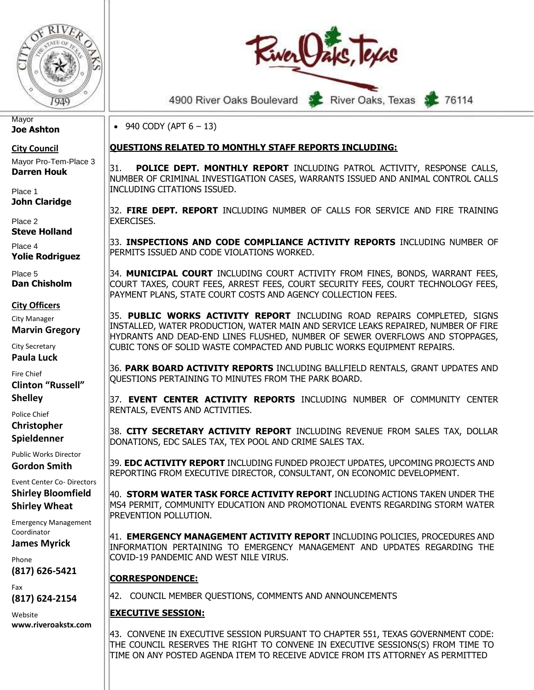

4900 River Oaks Boulevard River Oaks, Texas 76114

• 940 CODY (APT  $6 - 13$ )

### **QUESTIONS RELATED TO MONTHLY STAFF REPORTS INCLUDING:**

31. **POLICE DEPT. MONTHLY REPORT** INCLUDING PATROL ACTIVITY, RESPONSE CALLS, NUMBER OF CRIMINAL INVESTIGATION CASES, WARRANTS ISSUED AND ANIMAL CONTROL CALLS INCLUDING CITATIONS ISSUED.

32. **FIRE DEPT. REPORT** INCLUDING NUMBER OF CALLS FOR SERVICE AND FIRE TRAINING EXERCISES.

33. **INSPECTIONS AND CODE COMPLIANCE ACTIVITY REPORTS** INCLUDING NUMBER OF PERMITS ISSUED AND CODE VIOLATIONS WORKED.

34. **MUNICIPAL COURT** INCLUDING COURT ACTIVITY FROM FINES, BONDS, WARRANT FEES, COURT TAXES, COURT FEES, ARREST FEES, COURT SECURITY FEES, COURT TECHNOLOGY FEES, PAYMENT PLANS, STATE COURT COSTS AND AGENCY COLLECTION FEES.

35. **PUBLIC WORKS ACTIVITY REPORT** INCLUDING ROAD REPAIRS COMPLETED, SIGNS INSTALLED, WATER PRODUCTION, WATER MAIN AND SERVICE LEAKS REPAIRED, NUMBER OF FIRE HYDRANTS AND DEAD-END LINES FLUSHED, NUMBER OF SEWER OVERFLOWS AND STOPPAGES, CUBIC TONS OF SOLID WASTE COMPACTED AND PUBLIC WORKS EQUIPMENT REPAIRS.

36. **PARK BOARD ACTIVITY REPORTS** INCLUDING BALLFIELD RENTALS, GRANT UPDATES AND QUESTIONS PERTAINING TO MINUTES FROM THE PARK BOARD.

37. **EVENT CENTER ACTIVITY REPORTS** INCLUDING NUMBER OF COMMUNITY CENTER RENTALS, EVENTS AND ACTIVITIES.

38. **CITY SECRETARY ACTIVITY REPORT** INCLUDING REVENUE FROM SALES TAX, DOLLAR DONATIONS, EDC SALES TAX, TEX POOL AND CRIME SALES TAX.

39. **EDC ACTIVITY REPORT** INCLUDING FUNDED PROJECT UPDATES, UPCOMING PROJECTS AND REPORTING FROM EXECUTIVE DIRECTOR, CONSULTANT, ON ECONOMIC DEVELOPMENT.

40. **STORM WATER TASK FORCE ACTIVITY REPORT** INCLUDING ACTIONS TAKEN UNDER THE MS4 PERMIT, COMMUNITY EDUCATION AND PROMOTIONAL EVENTS REGARDING STORM WATER PREVENTION POLLUTION.

41. **EMERGENCY MANAGEMENT ACTIVITY REPORT** INCLUDING POLICIES, PROCEDURES AND INFORMATION PERTAINING TO EMERGENCY MANAGEMENT AND UPDATES REGARDING THE COVID-19 PANDEMIC AND WEST NILE VIRUS.

### **CORRESPONDENCE:**

42. COUNCIL MEMBER QUESTIONS, COMMENTS AND ANNOUNCEMENTS

### **EXECUTIVE SESSION:**

43. CONVENE IN EXECUTIVE SESSION PURSUANT TO CHAPTER 551, TEXAS GOVERNMENT CODE: THE COUNCIL RESERVES THE RIGHT TO CONVENE IN EXECUTIVE SESSIONS(S) FROM TIME TO TIME ON ANY POSTED AGENDA ITEM TO RECEIVE ADVICE FROM ITS ATTORNEY AS PERMITTED

**Mayor Joe Ashton**

**City Council** Mayor Pro-Tem-Place 3 **Darren Houk**

Place 1 **John Claridge**

Place 2 **Steve Holland**

Place 4 **Yolie Rodriguez**

Place 5 **Dan Chisholm**

#### **City Officers**

City Manager **Marvin Gregory**

City Secretary

**Paula Luck**

Fire Chief

**Clinton "Russell" Shelley**

Police Chief **Christopher** 

**Spieldenner**

Public Works Director

**Gordon Smith** Event Center Co- Directors **Shirley Bloomfield**

**Shirley Wheat**

Emergency Management Coordinator

**James Myrick**

Phone **(817) 626-5421**

Fax **(817) 624-2154**

Website **www.riveroakstx.com**